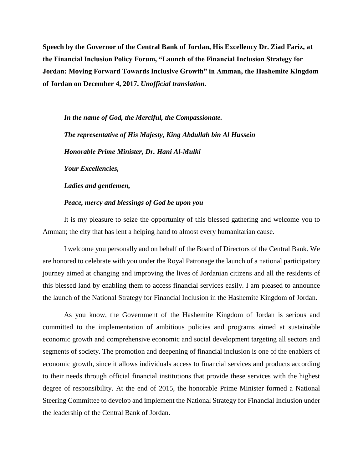**Speech by the Governor of the Central Bank of Jordan, His Excellency Dr. Ziad Fariz, at the Financial Inclusion Policy Forum, "Launch of the Financial Inclusion Strategy for Jordan: Moving Forward Towards Inclusive Growth" in Amman, the Hashemite Kingdom of Jordan on December 4, 2017.** *Unofficial translation.*

*In the name of God, the Merciful, the Compassionate. The representative of His Majesty, King Abdullah bin Al Hussein Honorable Prime Minister, Dr. Hani Al-Mulki Your Excellencies,* 

*Ladies and gentlemen,*

## *Peace, mercy and blessings of God be upon you*

It is my pleasure to seize the opportunity of this blessed gathering and welcome you to Amman; the city that has lent a helping hand to almost every humanitarian cause.

I welcome you personally and on behalf of the Board of Directors of the Central Bank. We are honored to celebrate with you under the Royal Patronage the launch of a national participatory journey aimed at changing and improving the lives of Jordanian citizens and all the residents of this blessed land by enabling them to access financial services easily. I am pleased to announce the launch of the National Strategy for Financial Inclusion in the Hashemite Kingdom of Jordan.

As you know, the Government of the Hashemite Kingdom of Jordan is serious and committed to the implementation of ambitious policies and programs aimed at sustainable economic growth and comprehensive economic and social development targeting all sectors and segments of society. The promotion and deepening of financial inclusion is one of the enablers of economic growth, since it allows individuals access to financial services and products according to their needs through official financial institutions that provide these services with the highest degree of responsibility. At the end of 2015, the honorable Prime Minister formed a National Steering Committee to develop and implement the National Strategy for Financial Inclusion under the leadership of the Central Bank of Jordan.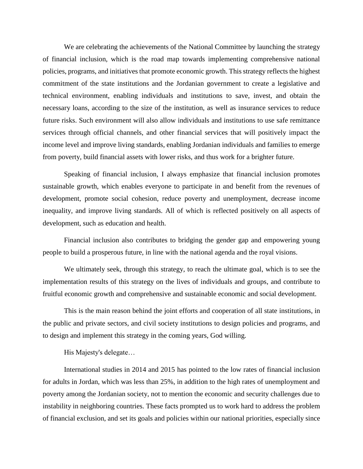We are celebrating the achievements of the National Committee by launching the strategy of financial inclusion, which is the road map towards implementing comprehensive national policies, programs, and initiatives that promote economic growth. This strategy reflects the highest commitment of the state institutions and the Jordanian government to create a legislative and technical environment, enabling individuals and institutions to save, invest, and obtain the necessary loans, according to the size of the institution, as well as insurance services to reduce future risks. Such environment will also allow individuals and institutions to use safe remittance services through official channels, and other financial services that will positively impact the income level and improve living standards, enabling Jordanian individuals and families to emerge from poverty, build financial assets with lower risks, and thus work for a brighter future.

Speaking of financial inclusion, I always emphasize that financial inclusion promotes sustainable growth, which enables everyone to participate in and benefit from the revenues of development, promote social cohesion, reduce poverty and unemployment, decrease income inequality, and improve living standards. All of which is reflected positively on all aspects of development, such as education and health.

Financial inclusion also contributes to bridging the gender gap and empowering young people to build a prosperous future, in line with the national agenda and the royal visions.

We ultimately seek, through this strategy, to reach the ultimate goal, which is to see the implementation results of this strategy on the lives of individuals and groups, and contribute to fruitful economic growth and comprehensive and sustainable economic and social development.

This is the main reason behind the joint efforts and cooperation of all state institutions, in the public and private sectors, and civil society institutions to design policies and programs, and to design and implement this strategy in the coming years, God willing.

## His Majesty's delegate…

International studies in 2014 and 2015 has pointed to the low rates of financial inclusion for adults in Jordan, which was less than 25%, in addition to the high rates of unemployment and poverty among the Jordanian society, not to mention the economic and security challenges due to instability in neighboring countries. These facts prompted us to work hard to address the problem of financial exclusion, and set its goals and policies within our national priorities, especially since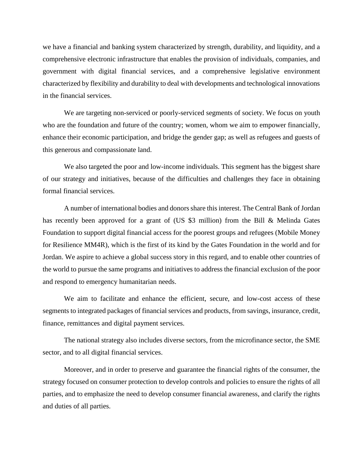we have a financial and banking system characterized by strength, durability, and liquidity, and a comprehensive electronic infrastructure that enables the provision of individuals, companies, and government with digital financial services, and a comprehensive legislative environment characterized by flexibility and durability to deal with developments and technological innovations in the financial services.

We are targeting non-serviced or poorly-serviced segments of society. We focus on youth who are the foundation and future of the country; women, whom we aim to empower financially, enhance their economic participation, and bridge the gender gap; as well as refugees and guests of this generous and compassionate land.

We also targeted the poor and low-income individuals. This segment has the biggest share of our strategy and initiatives, because of the difficulties and challenges they face in obtaining formal financial services.

A number of international bodies and donors share this interest. The Central Bank of Jordan has recently been approved for a grant of (US \$3 million) from the Bill & Melinda Gates Foundation to support digital financial access for the poorest groups and refugees (Mobile Money for Resilience MM4R), which is the first of its kind by the Gates Foundation in the world and for Jordan. We aspire to achieve a global success story in this regard, and to enable other countries of the world to pursue the same programs and initiatives to address the financial exclusion of the poor and respond to emergency humanitarian needs.

We aim to facilitate and enhance the efficient, secure, and low-cost access of these segments to integrated packages of financial services and products, from savings, insurance, credit, finance, remittances and digital payment services.

The national strategy also includes diverse sectors, from the microfinance sector, the SME sector, and to all digital financial services.

Moreover, and in order to preserve and guarantee the financial rights of the consumer, the strategy focused on consumer protection to develop controls and policies to ensure the rights of all parties, and to emphasize the need to develop consumer financial awareness, and clarify the rights and duties of all parties.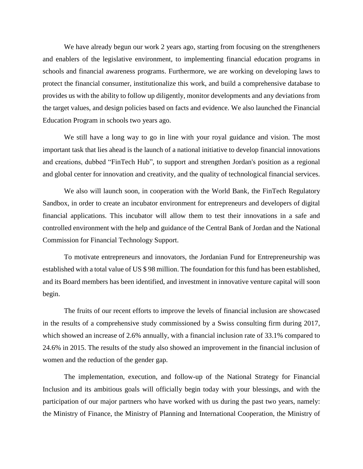We have already begun our work 2 years ago, starting from focusing on the strengtheners and enablers of the legislative environment, to implementing financial education programs in schools and financial awareness programs. Furthermore, we are working on developing laws to protect the financial consumer, institutionalize this work, and build a comprehensive database to provides us with the ability to follow up diligently, monitor developments and any deviations from the target values, and design policies based on facts and evidence. We also launched the Financial Education Program in schools two years ago.

We still have a long way to go in line with your royal guidance and vision. The most important task that lies ahead is the launch of a national initiative to develop financial innovations and creations, dubbed "FinTech Hub", to support and strengthen Jordan's position as a regional and global center for innovation and creativity, and the quality of technological financial services.

We also will launch soon, in cooperation with the World Bank, the FinTech Regulatory Sandbox, in order to create an incubator environment for entrepreneurs and developers of digital financial applications. This incubator will allow them to test their innovations in a safe and controlled environment with the help and guidance of the Central Bank of Jordan and the National Commission for Financial Technology Support.

To motivate entrepreneurs and innovators, the Jordanian Fund for Entrepreneurship was established with a total value of US \$ 98 million. The foundation for this fund has been established, and its Board members has been identified, and investment in innovative venture capital will soon begin.

The fruits of our recent efforts to improve the levels of financial inclusion are showcased in the results of a comprehensive study commissioned by a Swiss consulting firm during 2017, which showed an increase of 2.6% annually, with a financial inclusion rate of 33.1% compared to 24.6% in 2015. The results of the study also showed an improvement in the financial inclusion of women and the reduction of the gender gap.

The implementation, execution, and follow-up of the National Strategy for Financial Inclusion and its ambitious goals will officially begin today with your blessings, and with the participation of our major partners who have worked with us during the past two years, namely: the Ministry of Finance, the Ministry of Planning and International Cooperation, the Ministry of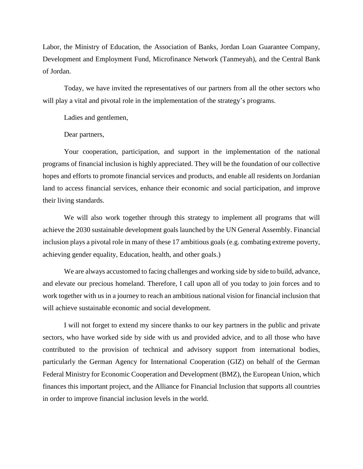Labor, the Ministry of Education, the Association of Banks, Jordan Loan Guarantee Company, Development and Employment Fund, Microfinance Network (Tanmeyah), and the Central Bank of Jordan.

Today, we have invited the representatives of our partners from all the other sectors who will play a vital and pivotal role in the implementation of the strategy's programs.

Ladies and gentlemen,

Dear partners,

Your cooperation, participation, and support in the implementation of the national programs of financial inclusion is highly appreciated. They will be the foundation of our collective hopes and efforts to promote financial services and products, and enable all residents on Jordanian land to access financial services, enhance their economic and social participation, and improve their living standards.

We will also work together through this strategy to implement all programs that will achieve the 2030 sustainable development goals launched by the UN General Assembly. Financial inclusion plays a pivotal role in many of these 17 ambitious goals (e.g. combating extreme poverty, achieving gender equality, Education, health, and other goals.)

We are always accustomed to facing challenges and working side by side to build, advance, and elevate our precious homeland. Therefore, I call upon all of you today to join forces and to work together with us in a journey to reach an ambitious national vision for financial inclusion that will achieve sustainable economic and social development.

I will not forget to extend my sincere thanks to our key partners in the public and private sectors, who have worked side by side with us and provided advice, and to all those who have contributed to the provision of technical and advisory support from international bodies, particularly the German Agency for International Cooperation (GIZ) on behalf of the German Federal Ministry for Economic Cooperation and Development (BMZ), the European Union, which finances this important project, and the Alliance for Financial Inclusion that supports all countries in order to improve financial inclusion levels in the world.